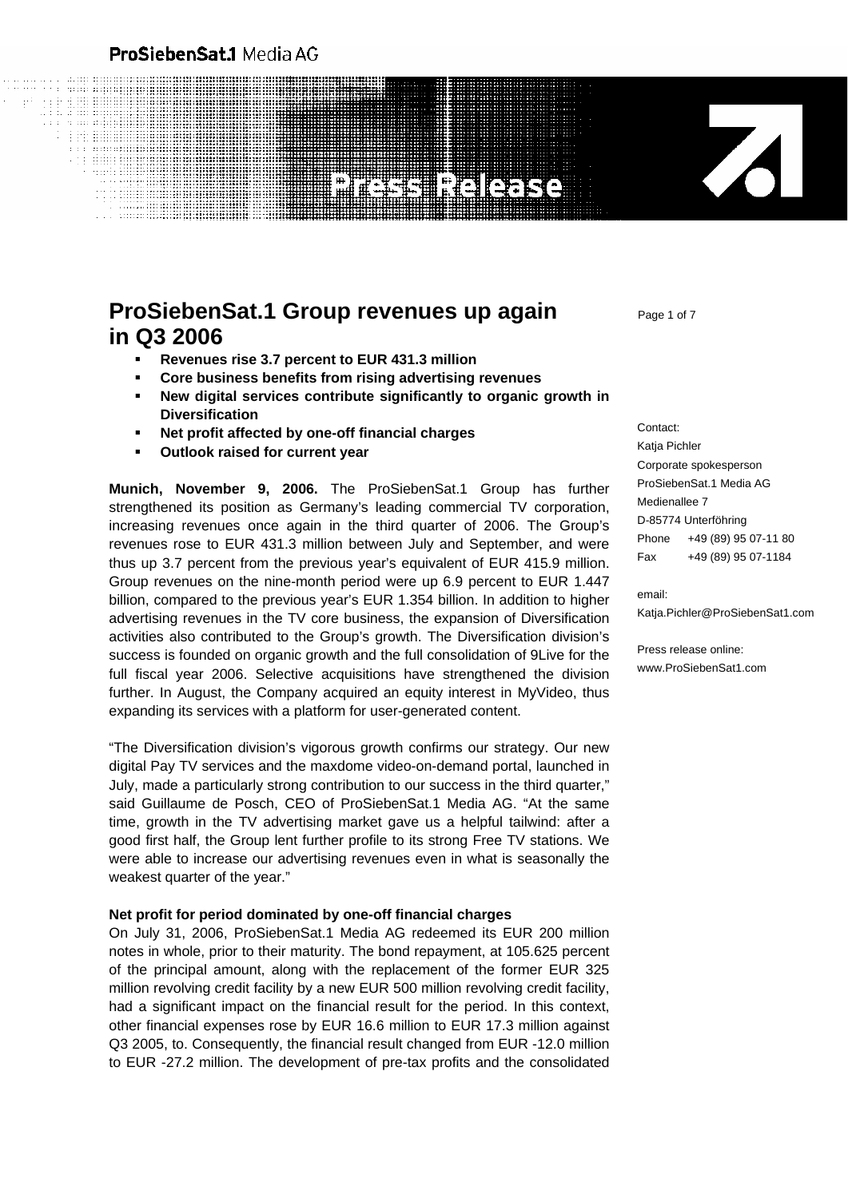### ProSiebenSat.1 Media AG

# **REIGHS**

## **ProSiebenSat.1 Group revenues up again** Page 1 of 7 **in Q3 2006**

- **Revenues rise 3.7 percent to EUR 431.3 million**
- **Core business benefits from rising advertising revenues**
- **New digital services contribute significantly to organic growth in Diversification**
- **Net profit affected by one-off financial charges**
- **Outlook raised for current year**

**Munich, November 9, 2006.** The ProSiebenSat.1 Group has further strengthened its position as Germany's leading commercial TV corporation, increasing revenues once again in the third quarter of 2006. The Group's revenues rose to EUR 431.3 million between July and September, and were thus up 3.7 percent from the previous year's equivalent of EUR 415.9 million. Group revenues on the nine-month period were up 6.9 percent to EUR 1.447 billion, compared to the previous year's EUR 1.354 billion. In addition to higher advertising revenues in the TV core business, the expansion of Diversification activities also contributed to the Group's growth. The Diversification division's success is founded on organic growth and the full consolidation of 9Live for the full fiscal year 2006. Selective acquisitions have strengthened the division further. In August, the Company acquired an equity interest in MyVideo, thus expanding its services with a platform for user-generated content.

"The Diversification division's vigorous growth confirms our strategy. Our new digital Pay TV services and the maxdome video-on-demand portal, launched in July, made a particularly strong contribution to our success in the third quarter," said Guillaume de Posch, CEO of ProSiebenSat.1 Media AG. "At the same time, growth in the TV advertising market gave us a helpful tailwind: after a good first half, the Group lent further profile to its strong Free TV stations. We were able to increase our advertising revenues even in what is seasonally the weakest quarter of the year."

#### **Net profit for period dominated by one-off financial charges**

On July 31, 2006, ProSiebenSat.1 Media AG redeemed its EUR 200 million notes in whole, prior to their maturity. The bond repayment, at 105.625 percent of the principal amount, along with the replacement of the former EUR 325 million revolving credit facility by a new EUR 500 million revolving credit facility, had a significant impact on the financial result for the period. In this context, other financial expenses rose by EUR 16.6 million to EUR 17.3 million against Q3 2005, to. Consequently, the financial result changed from EUR -12.0 million to EUR -27.2 million. The development of pre-tax profits and the consolidated

Contact: Katja Pichler Corporate spokesperson ProSiebenSat.1 Media AG Medienallee 7 D-85774 Unterföhring Phone +49 (89) 95 07-11 80 Fax +49 (89) 95 07-1184

Z

email: Katja.Pichler@ProSiebenSat1.com

Press release online: www.ProSiebenSat1.com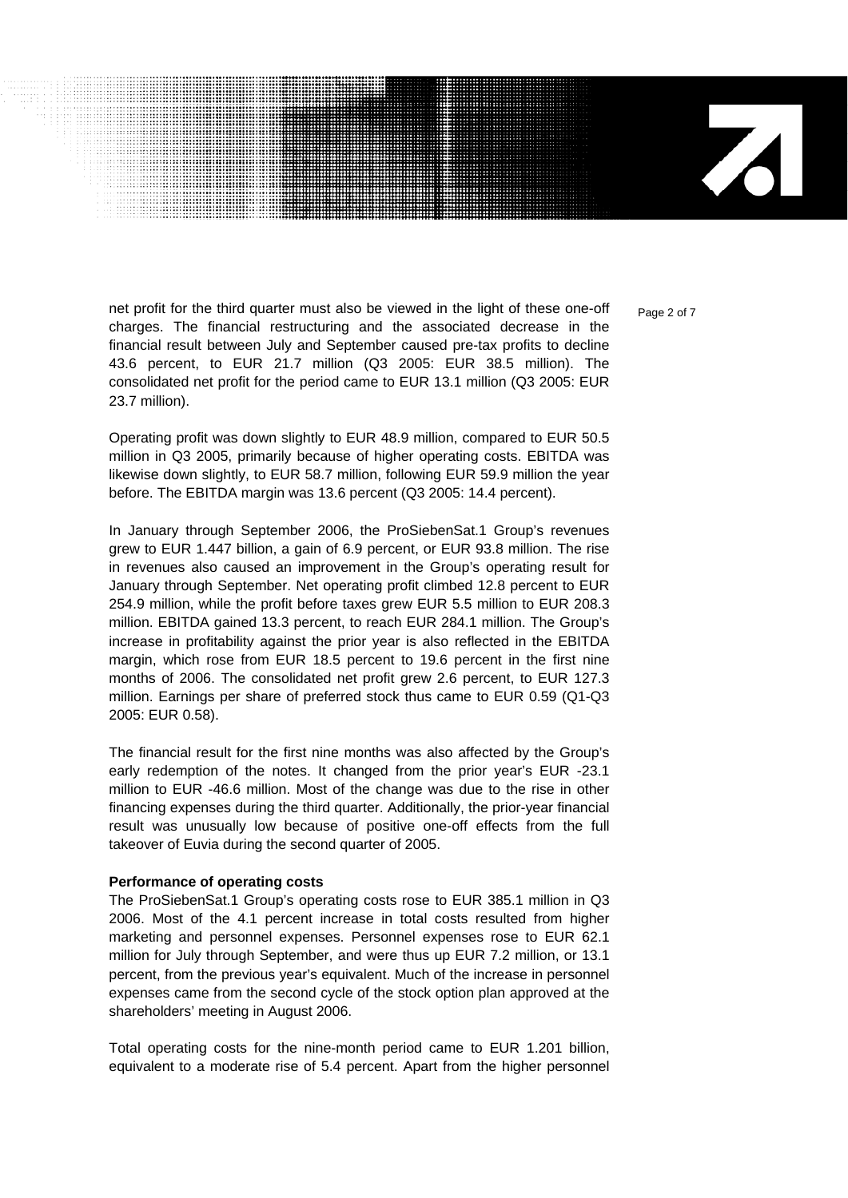$\mathbf{Z}$ 

net profit for the third quarter must also be viewed in the light of these one-off  $P_{\text{area 2 of 7}}$ charges. The financial restructuring and the associated decrease in the financial result between July and September caused pre-tax profits to decline 43.6 percent, to EUR 21.7 million (Q3 2005: EUR 38.5 million). The consolidated net profit for the period came to EUR 13.1 million (Q3 2005: EUR 23.7 million).

Operating profit was down slightly to EUR 48.9 million, compared to EUR 50.5 million in Q3 2005, primarily because of higher operating costs. EBITDA was likewise down slightly, to EUR 58.7 million, following EUR 59.9 million the year before. The EBITDA margin was 13.6 percent (Q3 2005: 14.4 percent).

In January through September 2006, the ProSiebenSat.1 Group's revenues grew to EUR 1.447 billion, a gain of 6.9 percent, or EUR 93.8 million. The rise in revenues also caused an improvement in the Group's operating result for January through September. Net operating profit climbed 12.8 percent to EUR 254.9 million, while the profit before taxes grew EUR 5.5 million to EUR 208.3 million. EBITDA gained 13.3 percent, to reach EUR 284.1 million. The Group's increase in profitability against the prior year is also reflected in the EBITDA margin, which rose from EUR 18.5 percent to 19.6 percent in the first nine months of 2006. The consolidated net profit grew 2.6 percent, to EUR 127.3 million. Earnings per share of preferred stock thus came to EUR 0.59 (Q1-Q3 2005: EUR 0.58).

The financial result for the first nine months was also affected by the Group's early redemption of the notes. It changed from the prior year's EUR -23.1 million to EUR -46.6 million. Most of the change was due to the rise in other financing expenses during the third quarter. Additionally, the prior-year financial result was unusually low because of positive one-off effects from the full takeover of Euvia during the second quarter of 2005.

#### **Performance of operating costs**

The ProSiebenSat.1 Group's operating costs rose to EUR 385.1 million in Q3 2006. Most of the 4.1 percent increase in total costs resulted from higher marketing and personnel expenses. Personnel expenses rose to EUR 62.1 million for July through September, and were thus up EUR 7.2 million, or 13.1 percent, from the previous year's equivalent. Much of the increase in personnel expenses came from the second cycle of the stock option plan approved at the shareholders' meeting in August 2006.

Total operating costs for the nine-month period came to EUR 1.201 billion, equivalent to a moderate rise of 5.4 percent. Apart from the higher personnel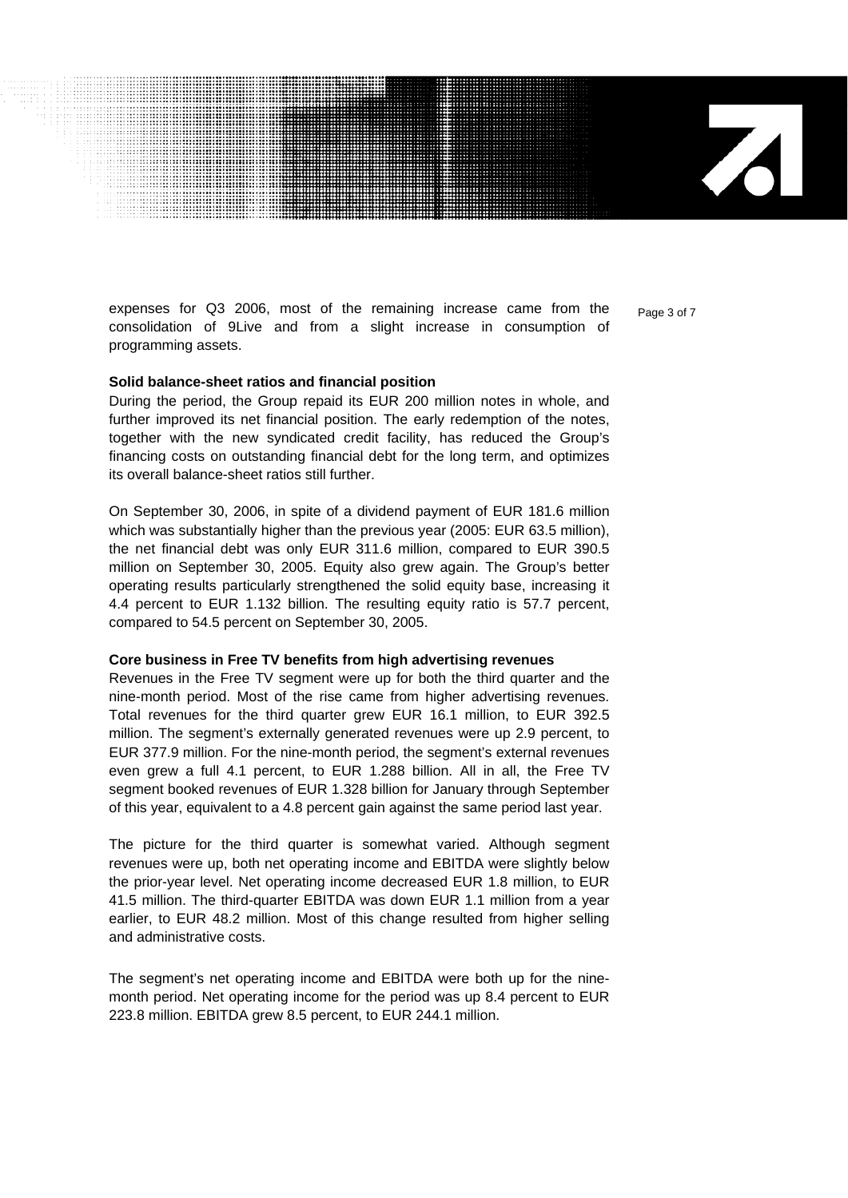expenses for  $Q3$  2006, most of the remaining increase came from the  $P_{\text{age 3 of 7}}$ consolidation of 9Live and from a slight increase in consumption of programming assets.

#### **Solid balance-sheet ratios and financial position**

During the period, the Group repaid its EUR 200 million notes in whole, and further improved its net financial position. The early redemption of the notes, together with the new syndicated credit facility, has reduced the Group's financing costs on outstanding financial debt for the long term, and optimizes its overall balance-sheet ratios still further.

On September 30, 2006, in spite of a dividend payment of EUR 181.6 million which was substantially higher than the previous year (2005: EUR 63.5 million), the net financial debt was only EUR 311.6 million, compared to EUR 390.5 million on September 30, 2005. Equity also grew again. The Group's better operating results particularly strengthened the solid equity base, increasing it 4.4 percent to EUR 1.132 billion. The resulting equity ratio is 57.7 percent, compared to 54.5 percent on September 30, 2005.

#### **Core business in Free TV benefits from high advertising revenues**

Revenues in the Free TV segment were up for both the third quarter and the nine-month period. Most of the rise came from higher advertising revenues. Total revenues for the third quarter grew EUR 16.1 million, to EUR 392.5 million. The segment's externally generated revenues were up 2.9 percent, to EUR 377.9 million. For the nine-month period, the segment's external revenues even grew a full 4.1 percent, to EUR 1.288 billion. All in all, the Free TV segment booked revenues of EUR 1.328 billion for January through September of this year, equivalent to a 4.8 percent gain against the same period last year.

The picture for the third quarter is somewhat varied. Although segment revenues were up, both net operating income and EBITDA were slightly below the prior-year level. Net operating income decreased EUR 1.8 million, to EUR 41.5 million. The third-quarter EBITDA was down EUR 1.1 million from a year earlier, to EUR 48.2 million. Most of this change resulted from higher selling and administrative costs.

The segment's net operating income and EBITDA were both up for the ninemonth period. Net operating income for the period was up 8.4 percent to EUR 223.8 million. EBITDA grew 8.5 percent, to EUR 244.1 million.

 $\overline{\mathbf{A}}$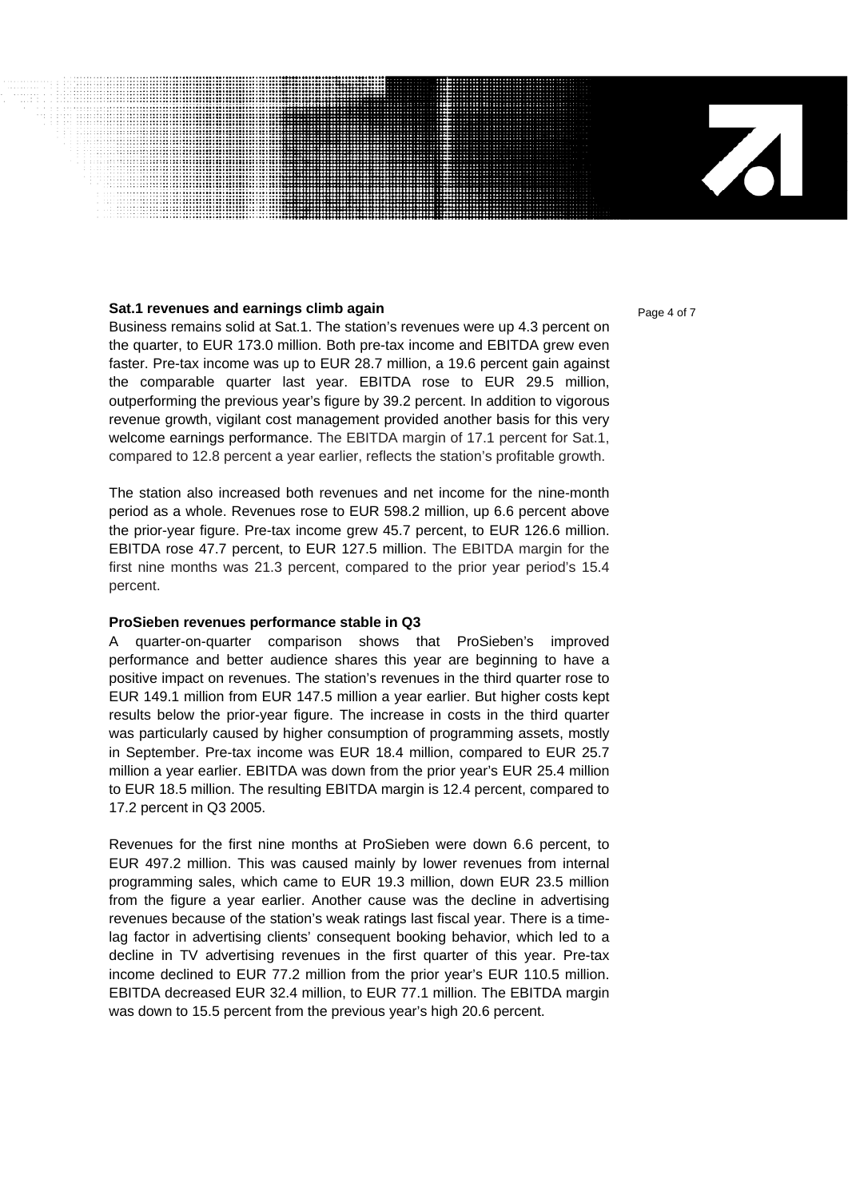#### **Sat.1 revenues and earnings climb again <b>Page 1 of 7** and 4 of 7

Business remains solid at Sat.1. The station's revenues were up 4.3 percent on the quarter, to EUR 173.0 million. Both pre-tax income and EBITDA grew even faster. Pre-tax income was up to EUR 28.7 million, a 19.6 percent gain against the comparable quarter last year. EBITDA rose to EUR 29.5 million, outperforming the previous year's figure by 39.2 percent. In addition to vigorous revenue growth, vigilant cost management provided another basis for this very welcome earnings performance. The EBITDA margin of 17.1 percent for Sat.1, compared to 12.8 percent a year earlier, reflects the station's profitable growth.

The station also increased both revenues and net income for the nine-month period as a whole. Revenues rose to EUR 598.2 million, up 6.6 percent above the prior-year figure. Pre-tax income grew 45.7 percent, to EUR 126.6 million. EBITDA rose 47.7 percent, to EUR 127.5 million. The EBITDA margin for the first nine months was 21.3 percent, compared to the prior year period's 15.4 percent.

#### **ProSieben revenues performance stable in Q3**

A quarter-on-quarter comparison shows that ProSieben's improved performance and better audience shares this year are beginning to have a positive impact on revenues. The station's revenues in the third quarter rose to EUR 149.1 million from EUR 147.5 million a year earlier. But higher costs kept results below the prior-year figure. The increase in costs in the third quarter was particularly caused by higher consumption of programming assets, mostly in September. Pre-tax income was EUR 18.4 million, compared to EUR 25.7 million a year earlier. EBITDA was down from the prior year's EUR 25.4 million to EUR 18.5 million. The resulting EBITDA margin is 12.4 percent, compared to 17.2 percent in Q3 2005.

Revenues for the first nine months at ProSieben were down 6.6 percent, to EUR 497.2 million. This was caused mainly by lower revenues from internal programming sales, which came to EUR 19.3 million, down EUR 23.5 million from the figure a year earlier. Another cause was the decline in advertising revenues because of the station's weak ratings last fiscal year. There is a timelag factor in advertising clients' consequent booking behavior, which led to a decline in TV advertising revenues in the first quarter of this year. Pre-tax income declined to EUR 77.2 million from the prior year's EUR 110.5 million. EBITDA decreased EUR 32.4 million, to EUR 77.1 million. The EBITDA margin was down to 15.5 percent from the previous year's high 20.6 percent.

 $\mathbf{Z}$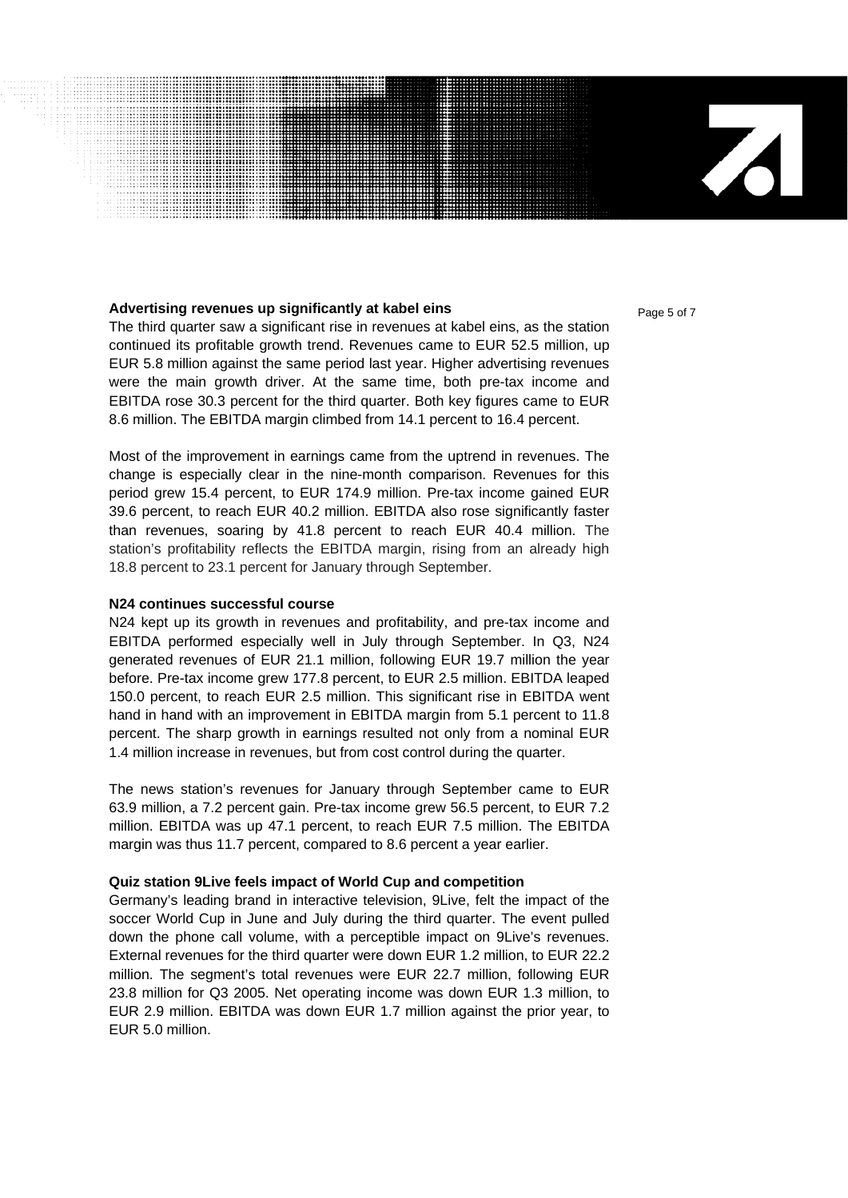#### **Advertising revenues up significantly at kabel eins Page 5 of 7 Page 5 of 7**

The third quarter saw a significant rise in revenues at kabel eins, as the station continued its profitable growth trend. Revenues came to EUR 52.5 million, up EUR 5.8 million against the same period last year. Higher advertising revenues were the main growth driver. At the same time, both pre-tax income and EBITDA rose 30.3 percent for the third quarter. Both key figures came to EUR 8.6 million. The EBITDA margin climbed from 14.1 percent to 16.4 percent.

Most of the improvement in earnings came from the uptrend in revenues. The change is especially clear in the nine-month comparison. Revenues for this period grew 15.4 percent, to EUR 174.9 million. Pre-tax income gained EUR 39.6 percent, to reach EUR 40.2 million. EBITDA also rose significantly faster than revenues, soaring by 41.8 percent to reach EUR 40.4 million. The station's profitability reflects the EBITDA margin, rising from an already high 18.8 percent to 23.1 percent for January through September.

#### **N24 continues successful course**

N24 kept up its growth in revenues and profitability, and pre-tax income and EBITDA performed especially well in July through September. In Q3, N24 generated revenues of EUR 21.1 million, following EUR 19.7 million the year before. Pre-tax income grew 177.8 percent, to EUR 2.5 million. EBITDA leaped 150.0 percent, to reach EUR 2.5 million. This significant rise in EBITDA went hand in hand with an improvement in EBITDA margin from 5.1 percent to 11.8 percent. The sharp growth in earnings resulted not only from a nominal EUR 1.4 million increase in revenues, but from cost control during the quarter.

The news station's revenues for January through September came to EUR 63.9 million, a 7.2 percent gain. Pre-tax income grew 56.5 percent, to EUR 7.2 million. EBITDA was up 47.1 percent, to reach EUR 7.5 million. The EBITDA margin was thus 11.7 percent, compared to 8.6 percent a year earlier.

#### **Quiz station 9Live feels impact of World Cup and competition**

Germany's leading brand in interactive television, 9Live, felt the impact of the soccer World Cup in June and July during the third quarter. The event pulled down the phone call volume, with a perceptible impact on 9Live's revenues. External revenues for the third quarter were down EUR 1.2 million, to EUR 22.2 million. The segment's total revenues were EUR 22.7 million, following EUR 23.8 million for Q3 2005. Net operating income was down EUR 1.3 million, to EUR 2.9 million. EBITDA was down EUR 1.7 million against the prior year, to EUR 5.0 million.

 $\mathbf{Z}$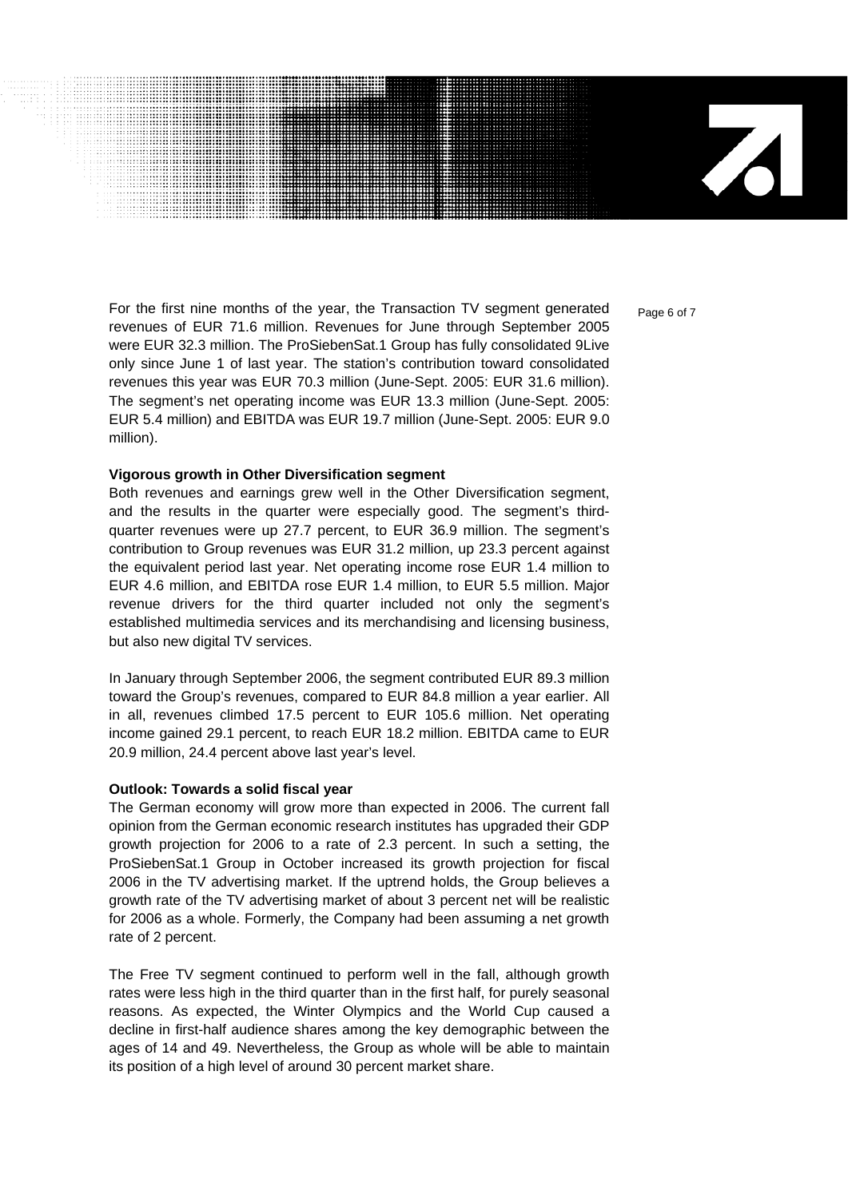71

For the first nine months of the year, the Transaction TV segment generated  $_{\text{Paqe 6 of 7}}$ revenues of EUR 71.6 million. Revenues for June through September 2005 were EUR 32.3 million. The ProSiebenSat.1 Group has fully consolidated 9Live only since June 1 of last year. The station's contribution toward consolidated revenues this year was EUR 70.3 million (June-Sept. 2005: EUR 31.6 million). The segment's net operating income was EUR 13.3 million (June-Sept. 2005: EUR 5.4 million) and EBITDA was EUR 19.7 million (June-Sept. 2005: EUR 9.0 million).

#### **Vigorous growth in Other Diversification segment**

Both revenues and earnings grew well in the Other Diversification segment, and the results in the quarter were especially good. The segment's thirdquarter revenues were up 27.7 percent, to EUR 36.9 million. The segment's contribution to Group revenues was EUR 31.2 million, up 23.3 percent against the equivalent period last year. Net operating income rose EUR 1.4 million to EUR 4.6 million, and EBITDA rose EUR 1.4 million, to EUR 5.5 million. Major revenue drivers for the third quarter included not only the segment's established multimedia services and its merchandising and licensing business, but also new digital TV services.

In January through September 2006, the segment contributed EUR 89.3 million toward the Group's revenues, compared to EUR 84.8 million a year earlier. All in all, revenues climbed 17.5 percent to EUR 105.6 million. Net operating income gained 29.1 percent, to reach EUR 18.2 million. EBITDA came to EUR 20.9 million, 24.4 percent above last year's level.

#### **Outlook: Towards a solid fiscal year**

The German economy will grow more than expected in 2006. The current fall opinion from the German economic research institutes has upgraded their GDP growth projection for 2006 to a rate of 2.3 percent. In such a setting, the ProSiebenSat.1 Group in October increased its growth projection for fiscal 2006 in the TV advertising market. If the uptrend holds, the Group believes a growth rate of the TV advertising market of about 3 percent net will be realistic for 2006 as a whole. Formerly, the Company had been assuming a net growth rate of 2 percent.

The Free TV segment continued to perform well in the fall, although growth rates were less high in the third quarter than in the first half, for purely seasonal reasons. As expected, the Winter Olympics and the World Cup caused a decline in first-half audience shares among the key demographic between the ages of 14 and 49. Nevertheless, the Group as whole will be able to maintain its position of a high level of around 30 percent market share.